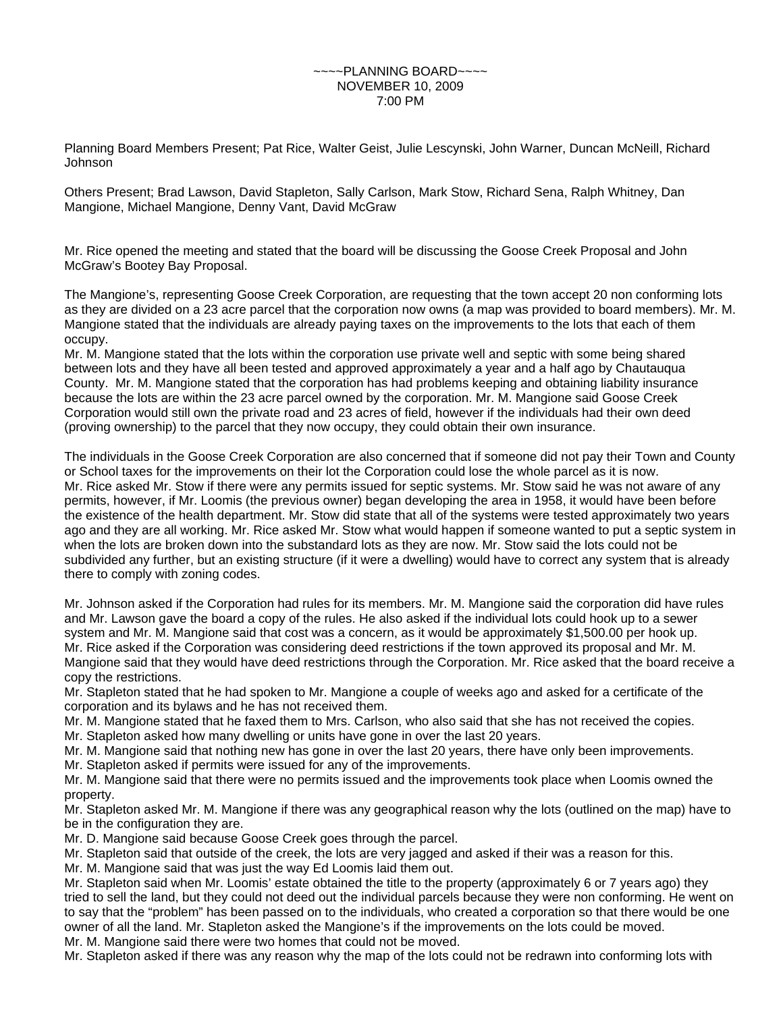## $\sim$ PLANNING BOARD $\sim$  $\sim$  $\sim$ NOVEMBER 10, 2009 7:00 PM

Planning Board Members Present; Pat Rice, Walter Geist, Julie Lescynski, John Warner, Duncan McNeill, Richard Johnson

Others Present; Brad Lawson, David Stapleton, Sally Carlson, Mark Stow, Richard Sena, Ralph Whitney, Dan Mangione, Michael Mangione, Denny Vant, David McGraw

Mr. Rice opened the meeting and stated that the board will be discussing the Goose Creek Proposal and John McGraw's Bootey Bay Proposal.

The Mangione's, representing Goose Creek Corporation, are requesting that the town accept 20 non conforming lots as they are divided on a 23 acre parcel that the corporation now owns (a map was provided to board members). Mr. M. Mangione stated that the individuals are already paying taxes on the improvements to the lots that each of them occupy.

Mr. M. Mangione stated that the lots within the corporation use private well and septic with some being shared between lots and they have all been tested and approved approximately a year and a half ago by Chautauqua County. Mr. M. Mangione stated that the corporation has had problems keeping and obtaining liability insurance because the lots are within the 23 acre parcel owned by the corporation. Mr. M. Mangione said Goose Creek Corporation would still own the private road and 23 acres of field, however if the individuals had their own deed (proving ownership) to the parcel that they now occupy, they could obtain their own insurance.

The individuals in the Goose Creek Corporation are also concerned that if someone did not pay their Town and County or School taxes for the improvements on their lot the Corporation could lose the whole parcel as it is now. Mr. Rice asked Mr. Stow if there were any permits issued for septic systems. Mr. Stow said he was not aware of any permits, however, if Mr. Loomis (the previous owner) began developing the area in 1958, it would have been before the existence of the health department. Mr. Stow did state that all of the systems were tested approximately two years ago and they are all working. Mr. Rice asked Mr. Stow what would happen if someone wanted to put a septic system in when the lots are broken down into the substandard lots as they are now. Mr. Stow said the lots could not be subdivided any further, but an existing structure (if it were a dwelling) would have to correct any system that is already there to comply with zoning codes.

Mr. Johnson asked if the Corporation had rules for its members. Mr. M. Mangione said the corporation did have rules and Mr. Lawson gave the board a copy of the rules. He also asked if the individual lots could hook up to a sewer system and Mr. M. Mangione said that cost was a concern, as it would be approximately \$1,500.00 per hook up. Mr. Rice asked if the Corporation was considering deed restrictions if the town approved its proposal and Mr. M. Mangione said that they would have deed restrictions through the Corporation. Mr. Rice asked that the board receive a copy the restrictions.

Mr. Stapleton stated that he had spoken to Mr. Mangione a couple of weeks ago and asked for a certificate of the corporation and its bylaws and he has not received them.

Mr. M. Mangione stated that he faxed them to Mrs. Carlson, who also said that she has not received the copies.

Mr. Stapleton asked how many dwelling or units have gone in over the last 20 years.

Mr. M. Mangione said that nothing new has gone in over the last 20 years, there have only been improvements.

Mr. Stapleton asked if permits were issued for any of the improvements.

Mr. M. Mangione said that there were no permits issued and the improvements took place when Loomis owned the property.

Mr. Stapleton asked Mr. M. Mangione if there was any geographical reason why the lots (outlined on the map) have to be in the configuration they are.

Mr. D. Mangione said because Goose Creek goes through the parcel.

Mr. Stapleton said that outside of the creek, the lots are very jagged and asked if their was a reason for this.

Mr. M. Mangione said that was just the way Ed Loomis laid them out.

Mr. Stapleton said when Mr. Loomis' estate obtained the title to the property (approximately 6 or 7 years ago) they tried to sell the land, but they could not deed out the individual parcels because they were non conforming. He went on to say that the "problem" has been passed on to the individuals, who created a corporation so that there would be one owner of all the land. Mr. Stapleton asked the Mangione's if the improvements on the lots could be moved. Mr. M. Mangione said there were two homes that could not be moved.

Mr. Stapleton asked if there was any reason why the map of the lots could not be redrawn into conforming lots with